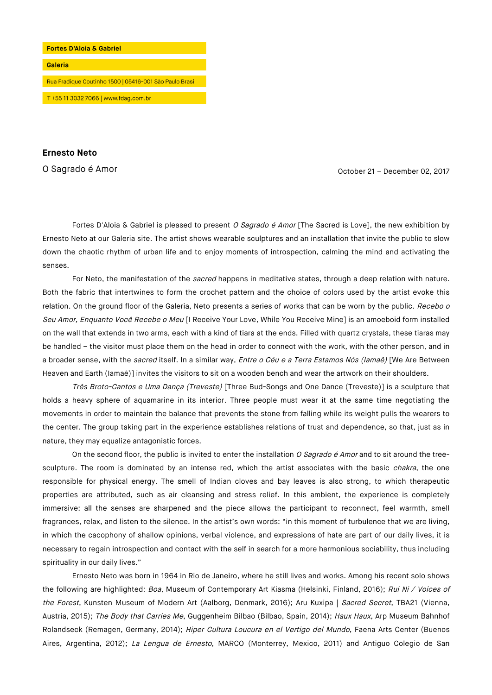

**Ernesto Neto**

O Sagrado é Amor Casaca e a constructivo de la constructivo de la constructivo de la Corona de Corona de Corona<br>Constructivo de la corona de Corona de Corona de Corona de Corona de Corona de Corona de Corona de Corona de C

Fortes D'Aloia & Gabriel is pleased to present O Sagrado é Amor [The Sacred is Love], the new exhibition by Ernesto Neto at our Galeria site. The artist shows wearable sculptures and an installation that invite the public to slow down the chaotic rhythm of urban life and to enjoy moments of introspection, calming the mind and activating the senses.

For Neto, the manifestation of the sacred happens in meditative states, through a deep relation with nature. Both the fabric that intertwines to form the crochet pattern and the choice of colors used by the artist evoke this relation. On the ground floor of the Galeria, Neto presents a series of works that can be worn by the public. Recebo o Seu Amor, Enquanto Você Recebe o Meu [I Receive Your Love, While You Receive Mine] is an amoeboid form installed on the wall that extends in two arms, each with a kind of tiara at the ends. Filled with quartz crystals, these tiaras may be handled – the visitor must place them on the head in order to connect with the work, with the other person, and in a broader sense, with the sacred itself. In a similar way, Entre o Céu e a Terra Estamos Nós (Iamaé) [We Are Between Heaven and Earth (Iamaê)] invites the visitors to sit on a wooden bench and wear the artwork on their shoulders.

Três Broto-Cantos e Uma Dança (Treveste) [Three Bud-Songs and One Dance (Treveste)] is a sculpture that holds a heavy sphere of aquamarine in its interior. Three people must wear it at the same time negotiating the movements in order to maintain the balance that prevents the stone from falling while its weight pulls the wearers to the center. The group taking part in the experience establishes relations of trust and dependence, so that, just as in nature, they may equalize antagonistic forces.

On the second floor, the public is invited to enter the installation O Sagrado é Amor and to sit around the treesculpture. The room is dominated by an intense red, which the artist associates with the basic *chakra*, the one responsible for physical energy. The smell of Indian cloves and bay leaves is also strong, to which therapeutic properties are attributed, such as air cleansing and stress relief. In this ambient, the experience is completely immersive: all the senses are sharpened and the piece allows the participant to reconnect, feel warmth, smell fragrances, relax, and listen to the silence. In the artist's own words: "in this moment of turbulence that we are living, in which the cacophony of shallow opinions, verbal violence, and expressions of hate are part of our daily lives, it is necessary to regain introspection and contact with the self in search for a more harmonious sociability, thus including spirituality in our daily lives."

Ernesto Neto was born in 1964 in Rio de Janeiro, where he still lives and works. Among his recent solo shows the following are highlighted: Boa, Museum of Contemporary Art Kiasma (Helsinki, Finland, 2016); Rui Ni / Voices of the Forest, Kunsten Museum of Modern Art (Aalborg, Denmark, 2016); Aru Kuxipa | Sacred Secret, TBA21 (Vienna, Austria, 2015); The Body that Carries Me, Guggenheim Bilbao (Bilbao, Spain, 2014); Haux Haux, Arp Museum Bahnhof Rolandseck (Remagen, Germany, 2014); Hiper Cultura Loucura en el Vertigo del Mundo, Faena Arts Center (Buenos Aires, Argentina, 2012); La Lengua de Ernesto, MARCO (Monterrey, Mexico, 2011) and Antiguo Colegio de San